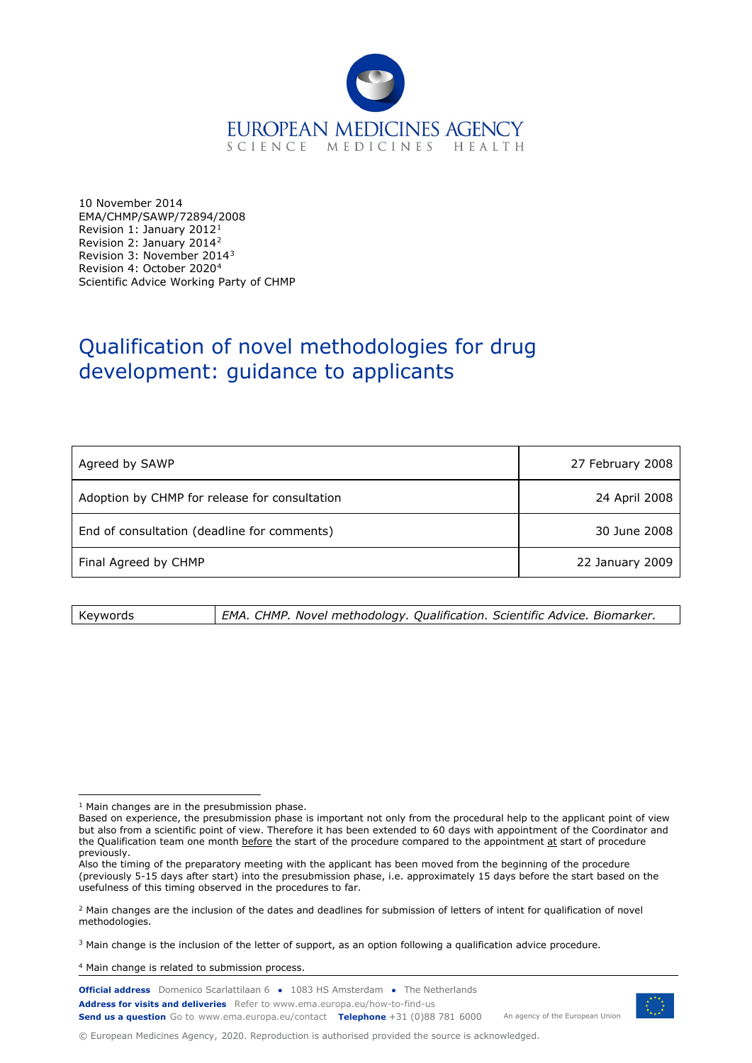

10 November 2014 EMA/CHMP/SAWP/72894/2008 Revision 1: January 2012[1](#page-0-0) Revision 2: January 2014[2](#page-0-1) Revision 3: November 2014[3](#page-0-2) Revision 4: October 2020[4](#page-0-3) Scientific Advice Working Party of CHMP

# Qualification of novel methodologies for drug development: guidance to applicants

| Agreed by SAWP                                | 27 February 2008 |
|-----------------------------------------------|------------------|
| Adoption by CHMP for release for consultation | 24 April 2008    |
| End of consultation (deadline for comments)   | 30 June 2008     |
| Final Agreed by CHMP                          | 22 January 2009  |

Keywords *EMA. CHMP. Novel methodology. Qualification. Scientific Advice. Biomarker.*

<span id="page-0-3"></span><sup>4</sup> Main change is related to submission process.

**Official address** Domenico Scarlattilaan 6 **●** 1083 HS Amsterdam **●** The Netherlands An agency of the European Union **Address for visits and deliveries** Refer to www.ema.europa.eu/how-to-find-us **Send us a question** Go to www.ema.europa.eu/contact **Telephone** +31 (0)88 781 6000



© European Medicines Agency, 2020. Reproduction is authorised provided the source is acknowledged.

<span id="page-0-0"></span><sup>1</sup> Main changes are in the presubmission phase.

Based on experience, the presubmission phase is important not only from the procedural help to the applicant point of view but also from a scientific point of view. Therefore it has been extended to 60 days with appointment of the Coordinator and the Qualification team one month before the start of the procedure compared to the appointment at start of procedure previously.

Also the timing of the preparatory meeting with the applicant has been moved from the beginning of the procedure (previously 5-15 days after start) into the presubmission phase, i.e. approximately 15 days before the start based on the usefulness of this timing observed in the procedures to far.

<span id="page-0-1"></span><sup>&</sup>lt;sup>2</sup> Main changes are the inclusion of the dates and deadlines for submission of letters of intent for qualification of novel methodologies.

<span id="page-0-2"></span><sup>3</sup> Main change is the inclusion of the letter of support, as an option following a qualification advice procedure.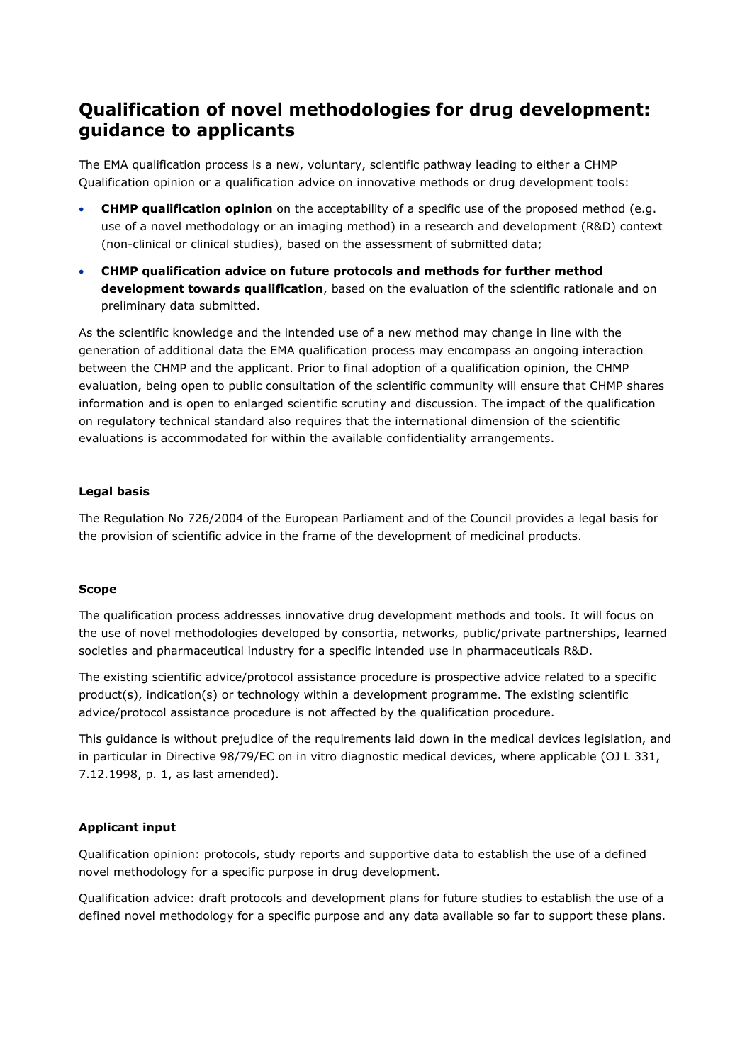# **Qualification of novel methodologies for drug development: guidance to applicants**

The EMA qualification process is a new, voluntary, scientific pathway leading to either a CHMP Qualification opinion or a qualification advice on innovative methods or drug development tools:

- **CHMP qualification opinion** on the acceptability of a specific use of the proposed method (e.g. use of a novel methodology or an imaging method) in a research and development (R&D) context (non-clinical or clinical studies), based on the assessment of submitted data;
- **CHMP qualification advice on future protocols and methods for further method development towards qualification**, based on the evaluation of the scientific rationale and on preliminary data submitted.

As the scientific knowledge and the intended use of a new method may change in line with the generation of additional data the EMA qualification process may encompass an ongoing interaction between the CHMP and the applicant. Prior to final adoption of a qualification opinion, the CHMP evaluation, being open to public consultation of the scientific community will ensure that CHMP shares information and is open to enlarged scientific scrutiny and discussion. The impact of the qualification on regulatory technical standard also requires that the international dimension of the scientific evaluations is accommodated for within the available confidentiality arrangements.

#### **Legal basis**

The Regulation No 726/2004 of the European Parliament and of the Council provides a legal basis for the provision of scientific advice in the frame of the development of medicinal products.

#### **Scope**

The qualification process addresses innovative drug development methods and tools. It will focus on the use of novel methodologies developed by consortia, networks, public/private partnerships, learned societies and pharmaceutical industry for a specific intended use in pharmaceuticals R&D.

The existing scientific advice/protocol assistance procedure is prospective advice related to a specific product(s), indication(s) or technology within a development programme. The existing scientific advice/protocol assistance procedure is not affected by the qualification procedure.

This guidance is without prejudice of the requirements laid down in the medical devices legislation, and in particular in Directive 98/79/EC on in vitro diagnostic medical devices, where applicable (OJ L 331, 7.12.1998, p. 1, as last amended).

#### **Applicant input**

Qualification opinion: protocols, study reports and supportive data to establish the use of a defined novel methodology for a specific purpose in drug development.

Qualification advice: draft protocols and development plans for future studies to establish the use of a defined novel methodology for a specific purpose and any data available so far to support these plans.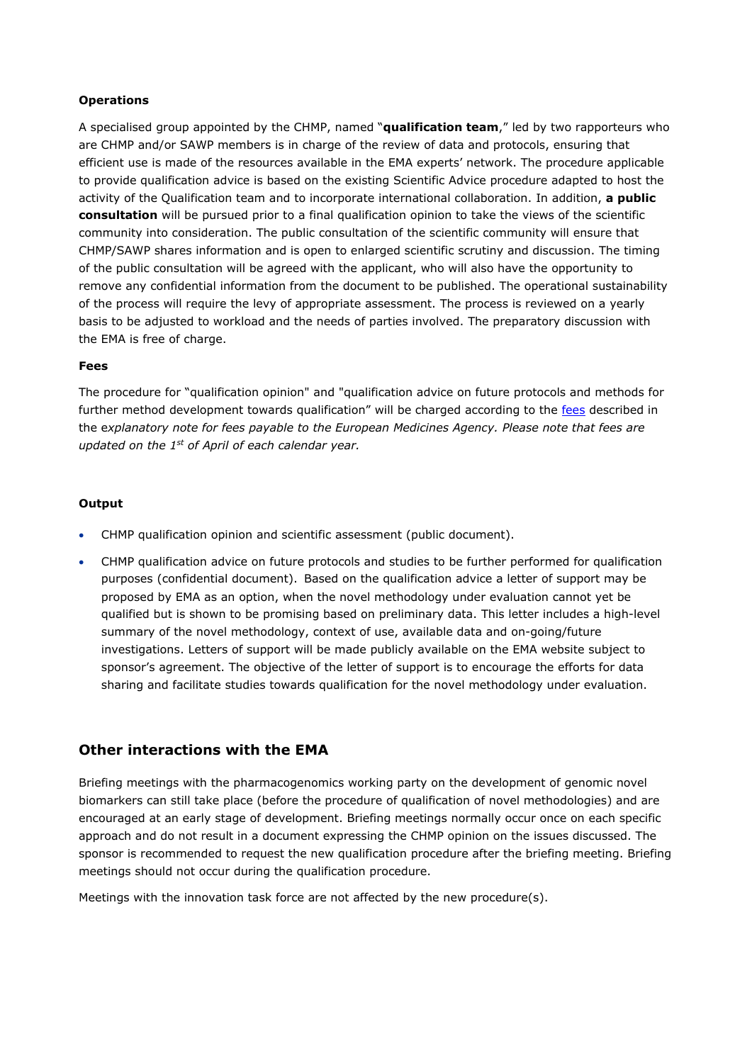#### **Operations**

A specialised group appointed by the CHMP, named "**qualification team**," led by two rapporteurs who are CHMP and/or SAWP members is in charge of the review of data and protocols, ensuring that efficient use is made of the resources available in the EMA experts' network. The procedure applicable to provide qualification advice is based on the existing Scientific Advice procedure adapted to host the activity of the Qualification team and to incorporate international collaboration. In addition, **a public consultation** will be pursued prior to a final qualification opinion to take the views of the scientific community into consideration. The public consultation of the scientific community will ensure that CHMP/SAWP shares information and is open to enlarged scientific scrutiny and discussion. The timing of the public consultation will be agreed with the applicant, who will also have the opportunity to remove any confidential information from the document to be published. The operational sustainability of the process will require the levy of appropriate assessment. The process is reviewed on a yearly basis to be adjusted to workload and the needs of parties involved. The preparatory discussion with the EMA is free of charge.

#### **Fees**

The procedure for "qualification opinion" and "qualification advice on future protocols and methods for further method development towards qualification" will be charged according to the [fees](https://www.ema.europa.eu/en/human-regulatory/overview/fees-payable-european-medicines-agency) described in the e*xplanatory note for fees payable to the European Medicines Agency. Please note that fees are updated on the 1st of April of each calendar year.*

#### **Output**

- CHMP qualification opinion and scientific assessment (public document).
- CHMP qualification advice on future protocols and studies to be further performed for qualification purposes (confidential document). Based on the qualification advice a letter of support may be proposed by EMA as an option, when the novel methodology under evaluation cannot yet be qualified but is shown to be promising based on preliminary data. This letter includes a high-level summary of the novel methodology, context of use, available data and on-going/future investigations. Letters of support will be made publicly available on the EMA website subject to sponsor's agreement. The objective of the letter of support is to encourage the efforts for data sharing and facilitate studies towards qualification for the novel methodology under evaluation.

#### **Other interactions with the EMA**

Briefing meetings with the pharmacogenomics working party on the development of genomic novel biomarkers can still take place (before the procedure of qualification of novel methodologies) and are encouraged at an early stage of development. Briefing meetings normally occur once on each specific approach and do not result in a document expressing the CHMP opinion on the issues discussed. The sponsor is recommended to request the new qualification procedure after the briefing meeting. Briefing meetings should not occur during the qualification procedure.

Meetings with the innovation task force are not affected by the new procedure(s).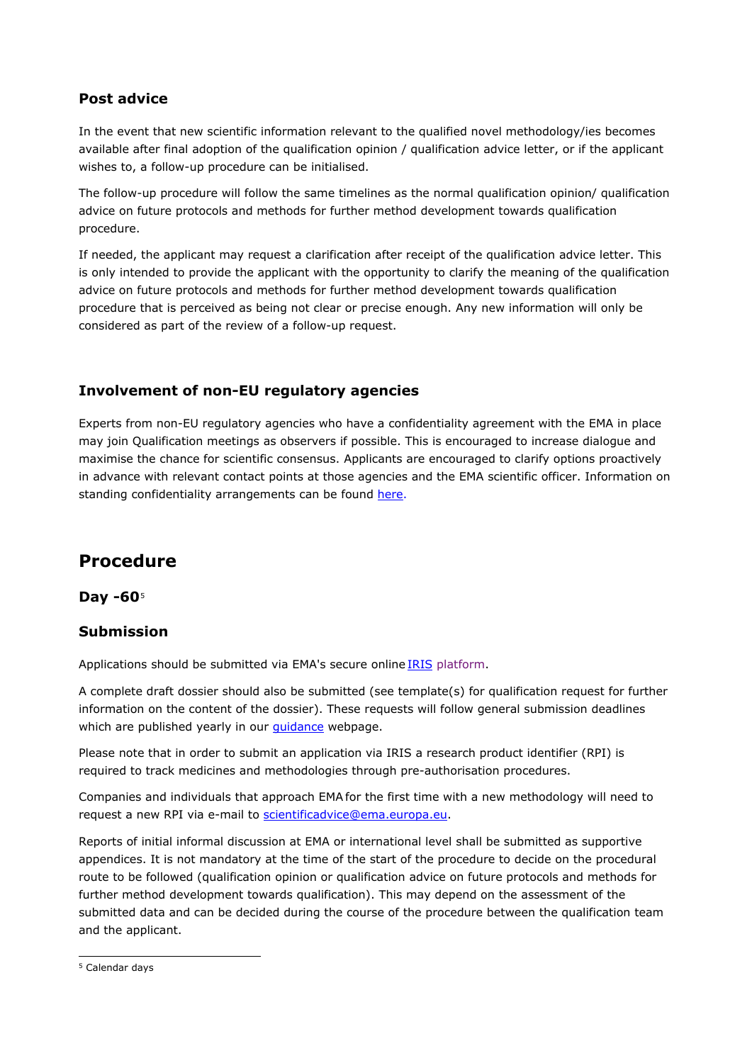# **Post advice**

In the event that new scientific information relevant to the qualified novel methodology/ies becomes available after final adoption of the qualification opinion / qualification advice letter, or if the applicant wishes to, a follow-up procedure can be initialised.

The follow-up procedure will follow the same timelines as the normal qualification opinion/ qualification advice on future protocols and methods for further method development towards qualification procedure.

If needed, the applicant may request a clarification after receipt of the qualification advice letter. This is only intended to provide the applicant with the opportunity to clarify the meaning of the qualification advice on future protocols and methods for further method development towards qualification procedure that is perceived as being not clear or precise enough. Any new information will only be considered as part of the review of a follow-up request.

# **Involvement of non-EU regulatory agencies**

Experts from non-EU regulatory agencies who have a confidentiality agreement with the EMA in place may join Qualification meetings as observers if possible. This is encouraged to increase dialogue and maximise the chance for scientific consensus. Applicants are encouraged to clarify options proactively in advance with relevant contact points at those agencies and the EMA scientific officer. Information on standing confidentiality arrangements can be found [here.](https://www.ema.europa.eu/en/partners-networks/international-activities/international-agreements)

# **Procedure**

## **Day -60**[5](#page-3-0)

## **Submission**

Applications should be submitted via EMA's secure online [IRIS](https://iris.ema.europa.eu/) platform.

A complete draft dossier should also be submitted (see template(s) for qualification request for further information on the content of the dossier). These requests will follow general submission deadlines which are published yearly in our *quidance* webpage.

Please note that in order to submit an application via IRIS a research product identifier (RPI) is required to track medicines and methodologies through pre-authorisation procedures.

Companies and individuals that approach EMA for the first time with a new methodology will need to request a new RPI via e-mail to [scientificadvice@ema.europa.eu.](mailto:scientificadvice@ema.europa.eu)

Reports of initial informal discussion at EMA or international level shall be submitted as supportive appendices. It is not mandatory at the time of the start of the procedure to decide on the procedural route to be followed (qualification opinion or qualification advice on future protocols and methods for further method development towards qualification). This may depend on the assessment of the submitted data and can be decided during the course of the procedure between the qualification team and the applicant.

<span id="page-3-0"></span><sup>5</sup> Calendar days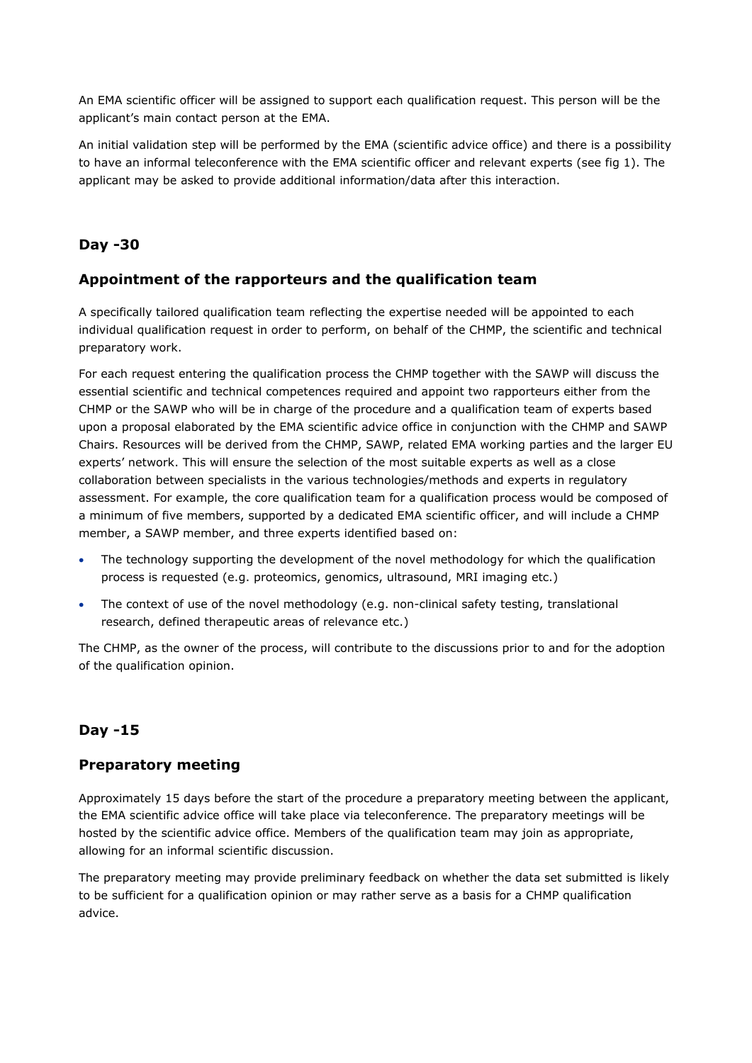An EMA scientific officer will be assigned to support each qualification request. This person will be the applicant's main contact person at the EMA.

An initial validation step will be performed by the EMA (scientific advice office) and there is a possibility to have an informal teleconference with the EMA scientific officer and relevant experts (see fig 1). The applicant may be asked to provide additional information/data after this interaction.

## **Day -30**

#### **Appointment of the rapporteurs and the qualification team**

A specifically tailored qualification team reflecting the expertise needed will be appointed to each individual qualification request in order to perform, on behalf of the CHMP, the scientific and technical preparatory work.

For each request entering the qualification process the CHMP together with the SAWP will discuss the essential scientific and technical competences required and appoint two rapporteurs either from the CHMP or the SAWP who will be in charge of the procedure and a qualification team of experts based upon a proposal elaborated by the EMA scientific advice office in conjunction with the CHMP and SAWP Chairs. Resources will be derived from the CHMP, SAWP, related EMA working parties and the larger EU experts' network. This will ensure the selection of the most suitable experts as well as a close collaboration between specialists in the various technologies/methods and experts in regulatory assessment. For example, the core qualification team for a qualification process would be composed of a minimum of five members, supported by a dedicated EMA scientific officer, and will include a CHMP member, a SAWP member, and three experts identified based on:

- The technology supporting the development of the novel methodology for which the qualification process is requested (e.g. proteomics, genomics, ultrasound, MRI imaging etc.)
- The context of use of the novel methodology (e.g. non-clinical safety testing, translational research, defined therapeutic areas of relevance etc.)

The CHMP, as the owner of the process, will contribute to the discussions prior to and for the adoption of the qualification opinion.

## **Day -15**

#### **Preparatory meeting**

Approximately 15 days before the start of the procedure a preparatory meeting between the applicant, the EMA scientific advice office will take place via teleconference. The preparatory meetings will be hosted by the scientific advice office. Members of the qualification team may join as appropriate, allowing for an informal scientific discussion.

The preparatory meeting may provide preliminary feedback on whether the data set submitted is likely to be sufficient for a qualification opinion or may rather serve as a basis for a CHMP qualification advice.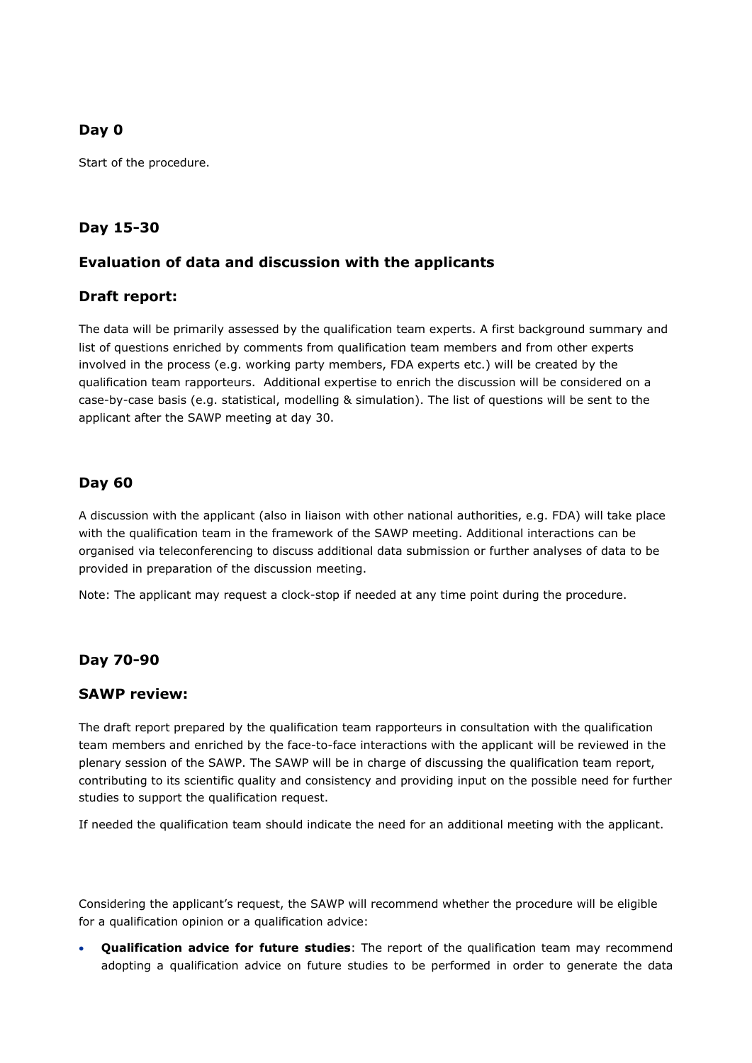## **Day 0**

Start of the procedure.

## **Day 15-30**

#### **Evaluation of data and discussion with the applicants**

#### **Draft report:**

The data will be primarily assessed by the qualification team experts. A first background summary and list of questions enriched by comments from qualification team members and from other experts involved in the process (e.g. working party members, FDA experts etc.) will be created by the qualification team rapporteurs. Additional expertise to enrich the discussion will be considered on a case-by-case basis (e.g. statistical, modelling & simulation). The list of questions will be sent to the applicant after the SAWP meeting at day 30.

#### **Day 60**

A discussion with the applicant (also in liaison with other national authorities, e.g. FDA) will take place with the qualification team in the framework of the SAWP meeting. Additional interactions can be organised via teleconferencing to discuss additional data submission or further analyses of data to be provided in preparation of the discussion meeting.

Note: The applicant may request a clock-stop if needed at any time point during the procedure.

## **Day 70-90**

#### **SAWP review:**

The draft report prepared by the qualification team rapporteurs in consultation with the qualification team members and enriched by the face-to-face interactions with the applicant will be reviewed in the plenary session of the SAWP. The SAWP will be in charge of discussing the qualification team report, contributing to its scientific quality and consistency and providing input on the possible need for further studies to support the qualification request.

If needed the qualification team should indicate the need for an additional meeting with the applicant.

Considering the applicant's request, the SAWP will recommend whether the procedure will be eligible for a qualification opinion or a qualification advice:

• **Qualification advice for future studies**: The report of the qualification team may recommend adopting a qualification advice on future studies to be performed in order to generate the data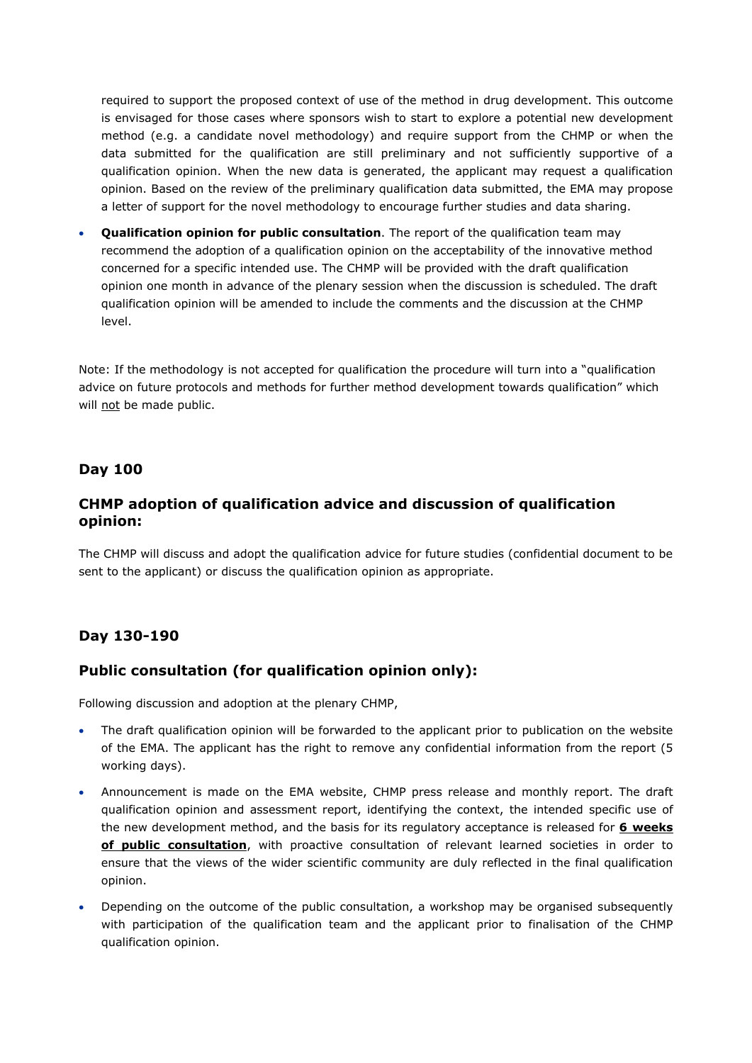required to support the proposed context of use of the method in drug development. This outcome is envisaged for those cases where sponsors wish to start to explore a potential new development method (e.g. a candidate novel methodology) and require support from the CHMP or when the data submitted for the qualification are still preliminary and not sufficiently supportive of a qualification opinion. When the new data is generated, the applicant may request a qualification opinion. Based on the review of the preliminary qualification data submitted, the EMA may propose a letter of support for the novel methodology to encourage further studies and data sharing.

• **Qualification opinion for public consultation**. The report of the qualification team may recommend the adoption of a qualification opinion on the acceptability of the innovative method concerned for a specific intended use. The CHMP will be provided with the draft qualification opinion one month in advance of the plenary session when the discussion is scheduled. The draft qualification opinion will be amended to include the comments and the discussion at the CHMP level.

Note: If the methodology is not accepted for qualification the procedure will turn into a "qualification advice on future protocols and methods for further method development towards qualification" which will not be made public.

#### **Day 100**

#### **CHMP adoption of qualification advice and discussion of qualification opinion:**

The CHMP will discuss and adopt the qualification advice for future studies (confidential document to be sent to the applicant) or discuss the qualification opinion as appropriate.

#### **Day 130-190**

#### **Public consultation (for qualification opinion only):**

Following discussion and adoption at the plenary CHMP,

- The draft qualification opinion will be forwarded to the applicant prior to publication on the website of the EMA. The applicant has the right to remove any confidential information from the report (5 working days).
- Announcement is made on the EMA website, CHMP press release and monthly report. The draft qualification opinion and assessment report, identifying the context, the intended specific use of the new development method, and the basis for its regulatory acceptance is released for **6 weeks of public consultation**, with proactive consultation of relevant learned societies in order to ensure that the views of the wider scientific community are duly reflected in the final qualification opinion.
- Depending on the outcome of the public consultation, a workshop may be organised subsequently with participation of the qualification team and the applicant prior to finalisation of the CHMP qualification opinion.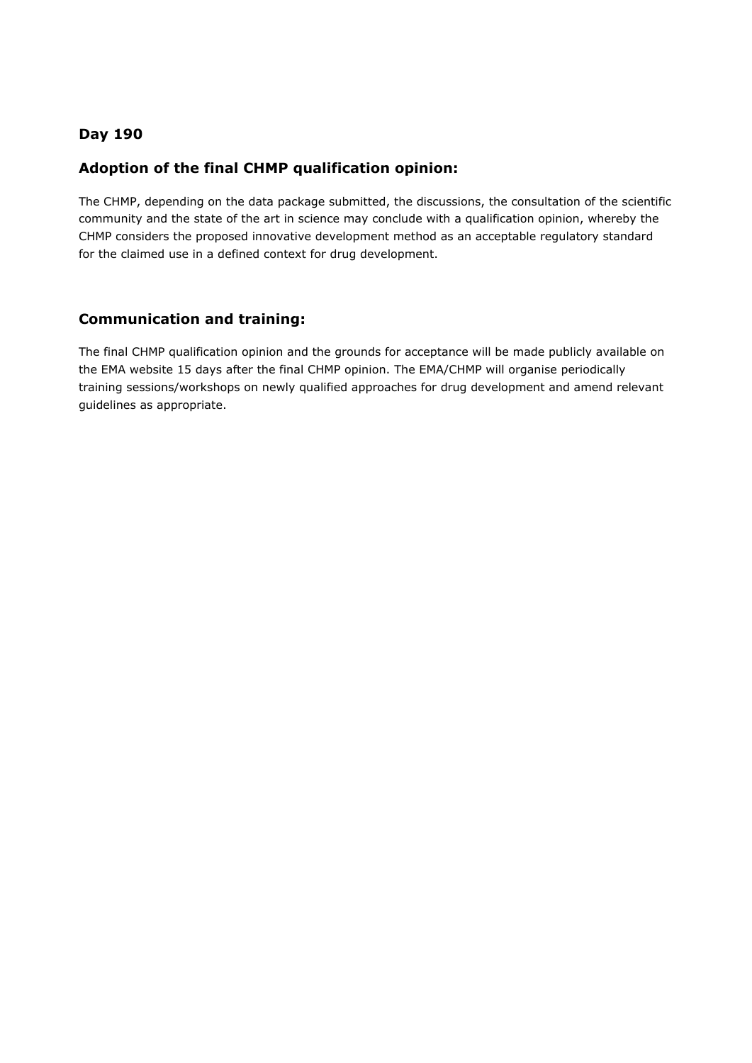## **Day 190**

#### **Adoption of the final CHMP qualification opinion:**

The CHMP, depending on the data package submitted, the discussions, the consultation of the scientific community and the state of the art in science may conclude with a qualification opinion, whereby the CHMP considers the proposed innovative development method as an acceptable regulatory standard for the claimed use in a defined context for drug development.

#### **Communication and training:**

The final CHMP qualification opinion and the grounds for acceptance will be made publicly available on the EMA website 15 days after the final CHMP opinion. The EMA/CHMP will organise periodically training sessions/workshops on newly qualified approaches for drug development and amend relevant guidelines as appropriate.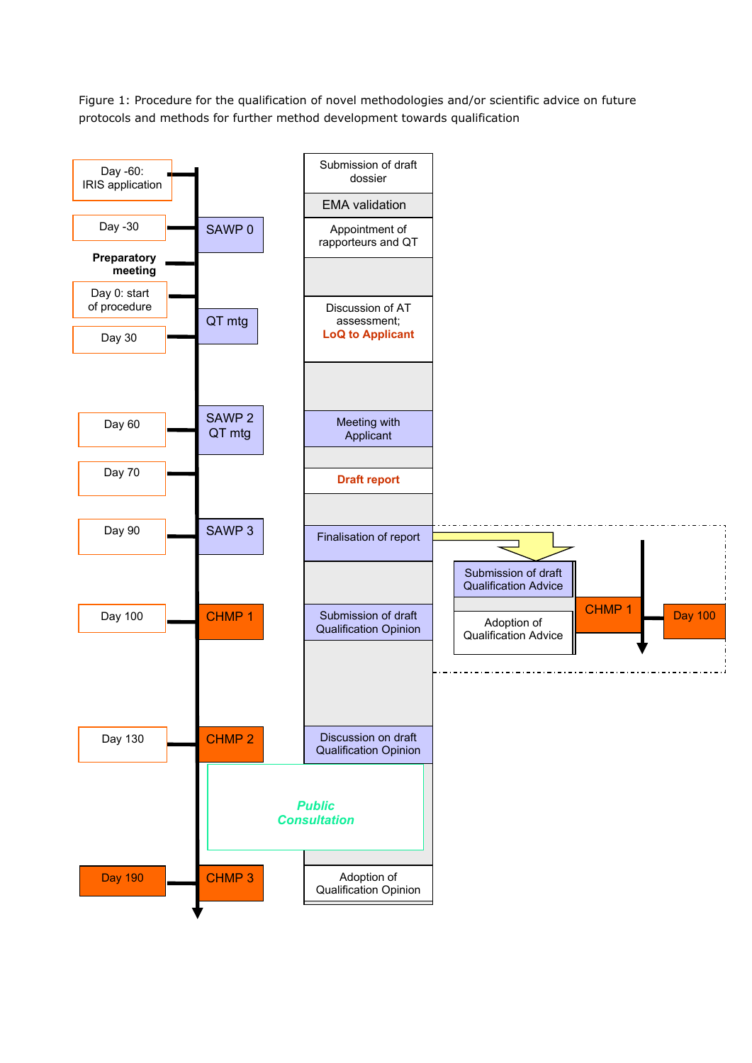Figure 1: Procedure for the qualification of novel methodologies and/or scientific advice on future protocols and methods for further method development towards qualification

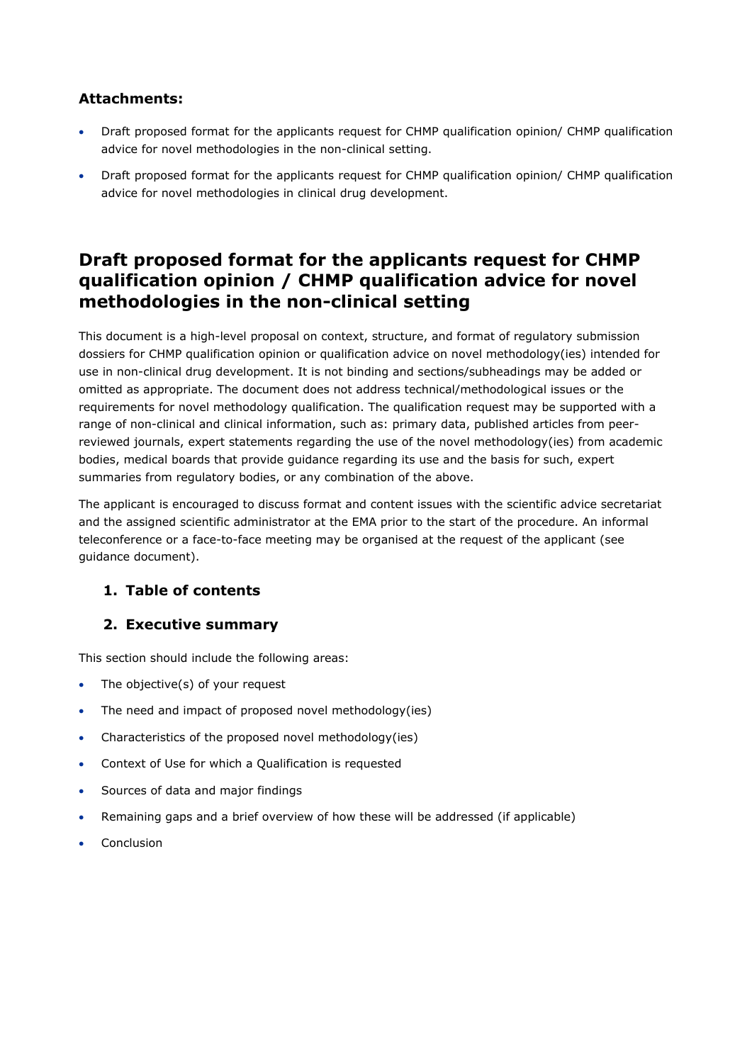## **Attachments:**

- Draft proposed format for the applicants request for CHMP qualification opinion/ CHMP qualification advice for novel methodologies in the non-clinical setting.
- Draft proposed format for the applicants request for CHMP qualification opinion/ CHMP qualification advice for novel methodologies in clinical drug development.

# **Draft proposed format for the applicants request for CHMP qualification opinion / CHMP qualification advice for novel methodologies in the non-clinical setting**

This document is a high-level proposal on context, structure, and format of regulatory submission dossiers for CHMP qualification opinion or qualification advice on novel methodology(ies) intended for use in non-clinical drug development. It is not binding and sections/subheadings may be added or omitted as appropriate. The document does not address technical/methodological issues or the requirements for novel methodology qualification. The qualification request may be supported with a range of non-clinical and clinical information, such as: primary data, published articles from peerreviewed journals, expert statements regarding the use of the novel methodology(ies) from academic bodies, medical boards that provide guidance regarding its use and the basis for such, expert summaries from regulatory bodies, or any combination of the above.

The applicant is encouraged to discuss format and content issues with the scientific advice secretariat and the assigned scientific administrator at the EMA prior to the start of the procedure. An informal teleconference or a face-to-face meeting may be organised at the request of the applicant (see guidance document).

# **1. Table of contents**

# **2. Executive summary**

This section should include the following areas:

- The objective(s) of your request
- The need and impact of proposed novel methodology(ies)
- Characteristics of the proposed novel methodology(ies)
- Context of Use for which a Qualification is requested
- Sources of data and major findings
- Remaining gaps and a brief overview of how these will be addressed (if applicable)
- **Conclusion**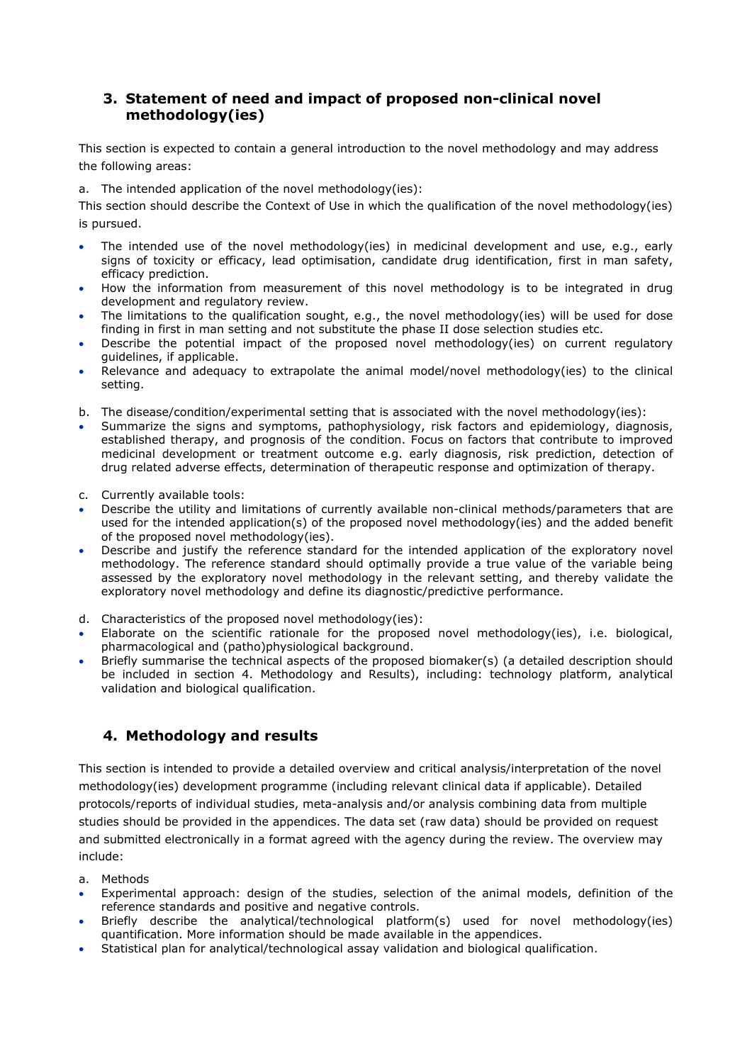## **3. Statement of need and impact of proposed non-clinical novel methodology(ies)**

This section is expected to contain a general introduction to the novel methodology and may address the following areas:

a. The intended application of the novel methodology(ies):

This section should describe the Context of Use in which the qualification of the novel methodology(ies) is pursued.

- The intended use of the novel methodology(ies) in medicinal development and use, e.g., early signs of toxicity or efficacy, lead optimisation, candidate drug identification, first in man safety, efficacy prediction.
- How the information from measurement of this novel methodology is to be integrated in drug development and regulatory review.
- The limitations to the qualification sought, e.g., the novel methodology(ies) will be used for dose finding in first in man setting and not substitute the phase II dose selection studies etc.
- Describe the potential impact of the proposed novel methodology(ies) on current regulatory guidelines, if applicable.
- Relevance and adequacy to extrapolate the animal model/novel methodology(ies) to the clinical setting.
- b. The disease/condition/experimental setting that is associated with the novel methodology(ies):
- Summarize the signs and symptoms, pathophysiology, risk factors and epidemiology, diagnosis, established therapy, and prognosis of the condition. Focus on factors that contribute to improved medicinal development or treatment outcome e.g. early diagnosis, risk prediction, detection of drug related adverse effects, determination of therapeutic response and optimization of therapy.
- c. Currently available tools:
- Describe the utility and limitations of currently available non-clinical methods/parameters that are used for the intended application(s) of the proposed novel methodology(ies) and the added benefit of the proposed novel methodology(ies).
- Describe and justify the reference standard for the intended application of the exploratory novel methodology. The reference standard should optimally provide a true value of the variable being assessed by the exploratory novel methodology in the relevant setting, and thereby validate the exploratory novel methodology and define its diagnostic/predictive performance.
- d. Characteristics of the proposed novel methodology(ies):
- Elaborate on the scientific rationale for the proposed novel methodology(ies), i.e. biological, pharmacological and (patho)physiological background.
- Briefly summarise the technical aspects of the proposed biomaker(s) (a detailed description should be included in section 4. Methodology and Results), including: technology platform, analytical validation and biological qualification.

## **4. Methodology and results**

This section is intended to provide a detailed overview and critical analysis/interpretation of the novel methodology(ies) development programme (including relevant clinical data if applicable). Detailed protocols/reports of individual studies, meta-analysis and/or analysis combining data from multiple studies should be provided in the appendices. The data set (raw data) should be provided on request and submitted electronically in a format agreed with the agency during the review. The overview may include:

- a. Methods
- Experimental approach: design of the studies, selection of the animal models, definition of the reference standards and positive and negative controls.
- Briefly describe the analytical/technological platform(s) used for novel methodology(ies) quantification. More information should be made available in the appendices.
- Statistical plan for analytical/technological assay validation and biological qualification.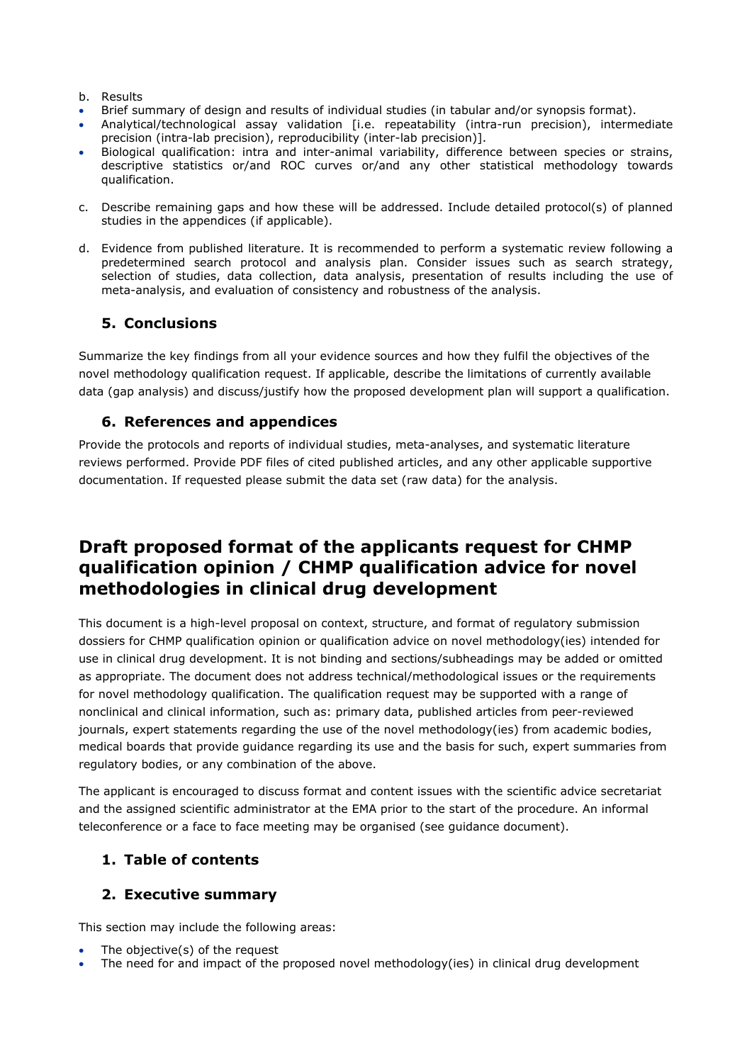- b. Results
- Brief summary of design and results of individual studies (in tabular and/or synopsis format).
- Analytical/technological assay validation [i.e. repeatability (intra-run precision), intermediate precision (intra-lab precision), reproducibility (inter-lab precision)].
- Biological qualification: intra and inter-animal variability, difference between species or strains, descriptive statistics or/and ROC curves or/and any other statistical methodology towards qualification.
- c. Describe remaining gaps and how these will be addressed. Include detailed protocol(s) of planned studies in the appendices (if applicable).
- d. Evidence from published literature. It is recommended to perform a systematic review following a predetermined search protocol and analysis plan. Consider issues such as search strategy, selection of studies, data collection, data analysis, presentation of results including the use of meta-analysis, and evaluation of consistency and robustness of the analysis.

## **5. Conclusions**

Summarize the key findings from all your evidence sources and how they fulfil the objectives of the novel methodology qualification request. If applicable, describe the limitations of currently available data (gap analysis) and discuss/justify how the proposed development plan will support a qualification.

#### **6. References and appendices**

Provide the protocols and reports of individual studies, meta-analyses, and systematic literature reviews performed. Provide PDF files of cited published articles, and any other applicable supportive documentation. If requested please submit the data set (raw data) for the analysis.

# **Draft proposed format of the applicants request for CHMP qualification opinion / CHMP qualification advice for novel methodologies in clinical drug development**

This document is a high-level proposal on context, structure, and format of regulatory submission dossiers for CHMP qualification opinion or qualification advice on novel methodology(ies) intended for use in clinical drug development. It is not binding and sections/subheadings may be added or omitted as appropriate. The document does not address technical/methodological issues or the requirements for novel methodology qualification. The qualification request may be supported with a range of nonclinical and clinical information, such as: primary data, published articles from peer-reviewed journals, expert statements regarding the use of the novel methodology(ies) from academic bodies, medical boards that provide guidance regarding its use and the basis for such, expert summaries from regulatory bodies, or any combination of the above.

The applicant is encouraged to discuss format and content issues with the scientific advice secretariat and the assigned scientific administrator at the EMA prior to the start of the procedure. An informal teleconference or a face to face meeting may be organised (see guidance document).

## **1. Table of contents**

## **2. Executive summary**

This section may include the following areas:

- The objective(s) of the request
- The need for and impact of the proposed novel methodology(ies) in clinical drug development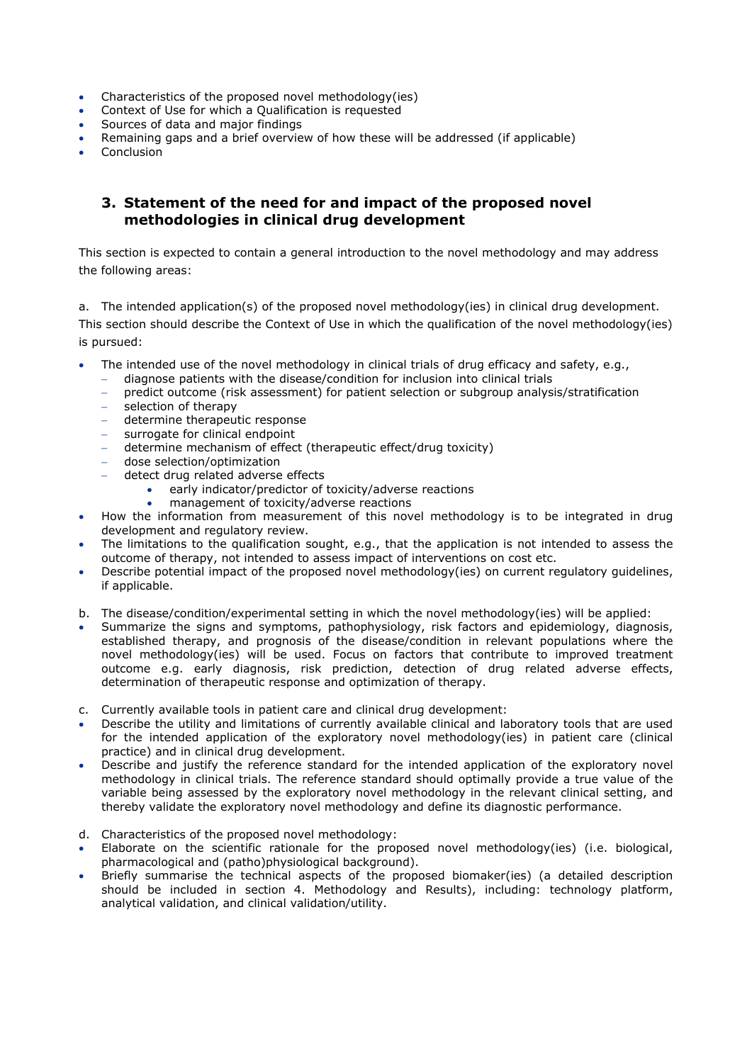- Characteristics of the proposed novel methodology(ies)
- Context of Use for which a Qualification is requested
- Sources of data and major findings
- Remaining gaps and a brief overview of how these will be addressed (if applicable)
- **Conclusion**

#### **3. Statement of the need for and impact of the proposed novel methodologies in clinical drug development**

This section is expected to contain a general introduction to the novel methodology and may address the following areas:

a. The intended application(s) of the proposed novel methodology(ies) in clinical drug development. This section should describe the Context of Use in which the qualification of the novel methodology(ies) is pursued:

- The intended use of the novel methodology in clinical trials of drug efficacy and safety, e.g.,
	- − diagnose patients with the disease/condition for inclusion into clinical trials
	- predict outcome (risk assessment) for patient selection or subgroup analysis/stratification
	- − selection of therapy
	- − determine therapeutic response
	- − surrogate for clinical endpoint
	- − determine mechanism of effect (therapeutic effect/drug toxicity)
	- − dose selection/optimization
	- − detect drug related adverse effects
		- early indicator/predictor of toxicity/adverse reactions
			- management of toxicity/adverse reactions
- How the information from measurement of this novel methodology is to be integrated in drug development and regulatory review.
- The limitations to the qualification sought, e.g., that the application is not intended to assess the outcome of therapy, not intended to assess impact of interventions on cost etc.
- Describe potential impact of the proposed novel methodology(ies) on current regulatory guidelines, if applicable.
- b. The disease/condition/experimental setting in which the novel methodology(ies) will be applied:
- Summarize the signs and symptoms, pathophysiology, risk factors and epidemiology, diagnosis, established therapy, and prognosis of the disease/condition in relevant populations where the novel methodology(ies) will be used. Focus on factors that contribute to improved treatment outcome e.g. early diagnosis, risk prediction, detection of drug related adverse effects, determination of therapeutic response and optimization of therapy.
- c. Currently available tools in patient care and clinical drug development:
- Describe the utility and limitations of currently available clinical and laboratory tools that are used for the intended application of the exploratory novel methodology(ies) in patient care (clinical practice) and in clinical drug development.
- Describe and justify the reference standard for the intended application of the exploratory novel methodology in clinical trials. The reference standard should optimally provide a true value of the variable being assessed by the exploratory novel methodology in the relevant clinical setting, and thereby validate the exploratory novel methodology and define its diagnostic performance.
- d. Characteristics of the proposed novel methodology:
- Elaborate on the scientific rationale for the proposed novel methodology(ies) (i.e. biological, pharmacological and (patho)physiological background).
- Briefly summarise the technical aspects of the proposed biomaker(ies) (a detailed description should be included in section 4. Methodology and Results), including: technology platform, analytical validation, and clinical validation/utility.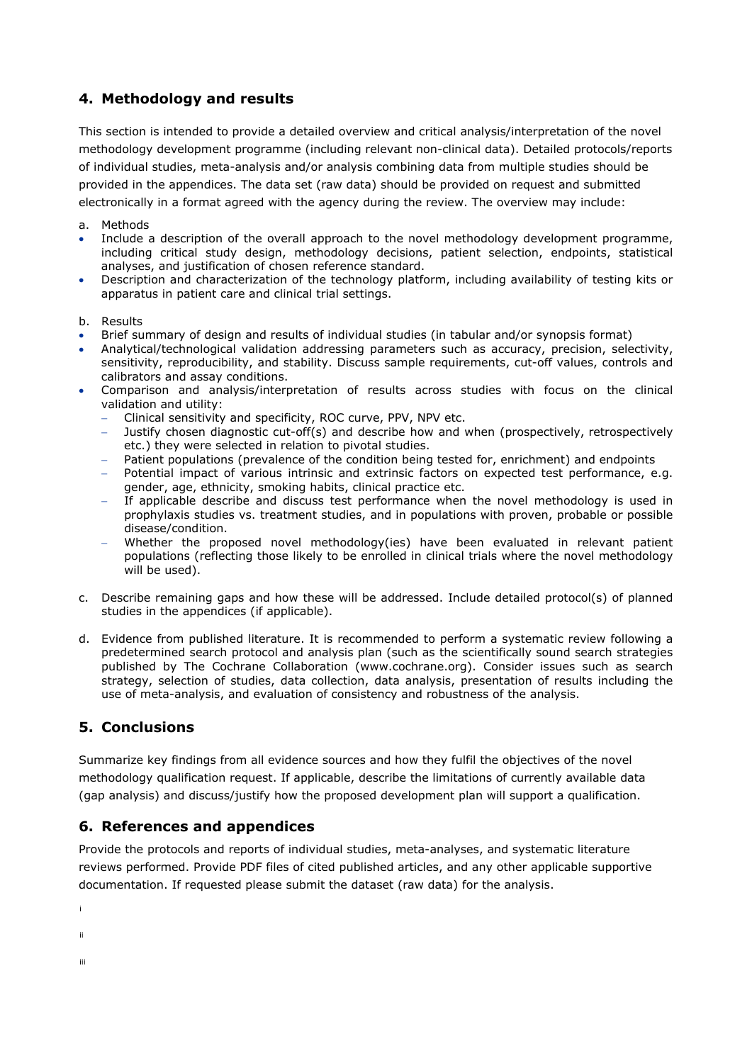## **4. Methodology and results**

This section is intended to provide a detailed overview and critical analysis/interpretation of the novel methodology development programme (including relevant non-clinical data). Detailed protocols/reports of individual studies, meta-analysis and/or analysis combining data from multiple studies should be provided in the appendices. The data set (raw data) should be provided on request and submitted electronically in a format agreed with the agency during the review. The overview may include:

- a. Methods
- Include a description of the overall approach to the novel methodology development programme, including critical study design, methodology decisions, patient selection, endpoints, statistical analyses, and justification of chosen reference standard.
- Description and characterization of the technology platform, including availability of testing kits or apparatus in patient care and clinical trial settings.
- b. Results
- Brief summary of design and results of individual studies (in tabular and/or synopsis format)
- Analytical/technological validation addressing parameters such as accuracy, precision, selectivity, sensitivity, reproducibility, and stability. Discuss sample requirements, cut-off values, controls and calibrators and assay conditions.
- Comparison and analysis/interpretation of results across studies with focus on the clinical validation and utility:
	- − Clinical sensitivity and specificity, ROC curve, PPV, NPV etc.
	- Justify chosen diagnostic cut-off(s) and describe how and when (prospectively, retrospectively etc.) they were selected in relation to pivotal studies.
	- Patient populations (prevalence of the condition being tested for, enrichment) and endpoints
	- Potential impact of various intrinsic and extrinsic factors on expected test performance, e.g. gender, age, ethnicity, smoking habits, clinical practice etc.
	- − If applicable describe and discuss test performance when the novel methodology is used in prophylaxis studies vs. treatment studies, and in populations with proven, probable or possible disease/condition.
	- − Whether the proposed novel methodology(ies) have been evaluated in relevant patient populations (reflecting those likely to be enrolled in clinical trials where the novel methodology will be used).
- c. Describe remaining gaps and how these will be addressed. Include detailed protocol(s) of planned studies in the appendices (if applicable).
- d. Evidence from published literature. It is recommended to perform a systematic review following a predetermined search protocol and analysis plan (such as the scientifically sound search strategies published by The Cochrane Collaboration (www.cochrane.org). Consider issues such as search strategy, selection of studies, data collection, data analysis, presentation of results including the use of meta-analysis, and evaluation of consistency and robustness of the analysis.

## **5. Conclusions**

Summarize key findings from all evidence sources and how they fulfil the objectives of the novel methodology qualification request. If applicable, describe the limitations of currently available data (gap analysis) and discuss/justify how the proposed development plan will support a qualification.

#### **6. References and appendices**

Provide the protocols and reports of individual studies, meta-analyses, and systematic literature reviews performed. Provide PDF files of cited published articles, and any other applicable supportive documentation. If requested please submit the dataset (raw data) for the analysis.

[i](#page-14-0)

- [ii](#page-14-1)
- [iii](#page-14-2)